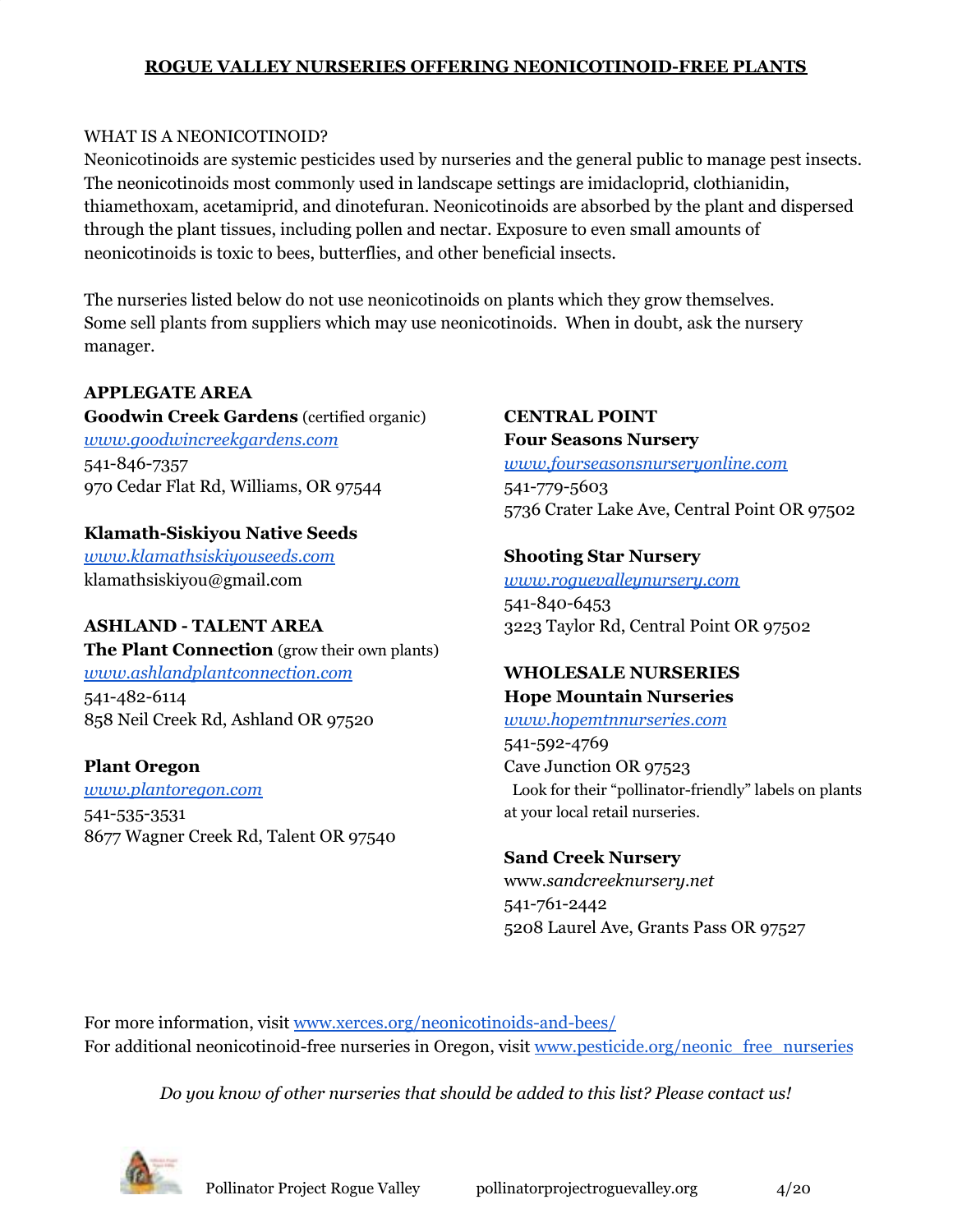### **ROGUE VALLEY NURSERIES OFFERING NEONICOTINOID-FREE PLANTS**

### WHAT IS A NEONICOTINOID?

Neonicotinoids are systemic pesticides used by nurseries and the general public to manage pest insects. The neonicotinoids most commonly used in landscape settings are imidacloprid, clothianidin, thiamethoxam, acetamiprid, and dinotefuran. Neonicotinoids are absorbed by the plant and dispersed through the plant tissues, including pollen and nectar. Exposure to even small amounts of neonicotinoids is toxic to bees, butterflies, and other beneficial insects.

The nurseries listed below do not use neonicotinoids on plants which they grow themselves. Some sell plants from suppliers which may use neonicotinoids. When in doubt, ask the nursery manager.

### **APPLEGATE AREA**

**Goodwin Creek Gardens** (certified organic) *[www.goodwincreekgardens.com](http://www.goodwincreekgardens.com/)* 541-846-7357 970 Cedar Flat Rd, Williams, OR 97544

**Klamath-Siskiyou Native Seeds** *[www.klamathsiskiyouseeds.com](http://www.klamathsiskiyouseeds.com/)* klamathsiskiyou@gmail.com

# **ASHLAND - TALENT AREA**

**The Plant Connection** (grow their own plants) *[www.ashlandplantconnection.com](http://www.ashlandplantconnection.com/)* 541-482-6114 858 Neil Creek Rd, Ashland OR 97520

# **Plant Oregon**

*[www.plantoregon.com](http://www.plantoregon.com/)* 541-535-3531 8677 Wagner Creek Rd, Talent OR 97540 **CENTRAL POINT Four Seasons Nursery**

*[www.fourseasonsnurseryonline.com](http://www.fourseasonsnurseryonline.com/)* 541-779-5603 5736 Crater Lake Ave, Central Point OR 97502

### **Shooting Star Nursery**

*[www.roguevalleynursery.com](http://www.roguevalleynursery.com/)* 541-840-6453 3223 Taylor Rd, Central Point OR 97502

#### **WHOLESALE NURSERIES Hope Mountain Nurseries**

# *[www.hopemtnnurseries.com](http://www.hopemtnnurseries.com/)*

541-592-4769 Cave Junction OR 97523 Look for their "pollinator-friendly" labels on plants at your local retail nurseries.

### **Sand Creek Nursery**

www.*sandcreeknursery.net* 541-761-2442 5208 Laurel Ave, Grants Pass OR 97527

For more information, visit [www.xerces.org/neonicotinoids-and-bees/](http://www.xerces.org/neonicotinoids-and-bees/) For additional neonicotinoid-free nurseries in Oregon, visit [www.pesticide.org/neonic\\_free\\_nurseries](http://www.pesticide.org/neonic_free_nurseries)

*Do you know of other nurseries that should be added to this list? Please contact us!*